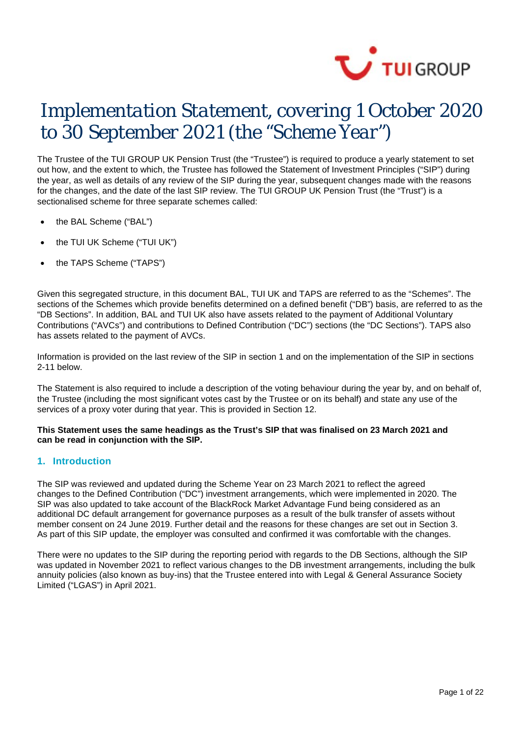

# *Implementation Statement, covering 1 October 2020 to 30 September 2021 (the "Scheme Year")*

The Trustee of the TUI GROUP UK Pension Trust (the "Trustee") is required to produce a yearly statement to set out how, and the extent to which, the Trustee has followed the Statement of Investment Principles ("SIP") during the year, as well as details of any review of the SIP during the year, subsequent changes made with the reasons for the changes, and the date of the last SIP review. The TUI GROUP UK Pension Trust (the "Trust") is a sectionalised scheme for three separate schemes called:

- the BAL Scheme ("BAL")
- the TUI UK Scheme ("TUI UK")
- the TAPS Scheme ("TAPS")

Given this segregated structure, in this document BAL, TUI UK and TAPS are referred to as the "Schemes". The sections of the Schemes which provide benefits determined on a defined benefit ("DB") basis, are referred to as the "DB Sections". In addition, BAL and TUI UK also have assets related to the payment of Additional Voluntary Contributions ("AVCs") and contributions to Defined Contribution ("DC") sections (the "DC Sections"). TAPS also has assets related to the payment of AVCs.

Information is provided on the last review of the SIP in section 1 and on the implementation of the SIP in sections 2-11 below.

The Statement is also required to include a description of the voting behaviour during the year by, and on behalf of, the Trustee (including the most significant votes cast by the Trustee or on its behalf) and state any use of the services of a proxy voter during that year. This is provided in Section 12.

### **This Statement uses the same headings as the Trust's SIP that was finalised on 23 March 2021 and can be read in conjunction with the SIP.**

# **1. Introduction**

The SIP was reviewed and updated during the Scheme Year on 23 March 2021 to reflect the agreed changes to the Defined Contribution ("DC") investment arrangements, which were implemented in 2020. The SIP was also updated to take account of the BlackRock Market Advantage Fund being considered as an additional DC default arrangement for governance purposes as a result of the bulk transfer of assets without member consent on 24 June 2019. Further detail and the reasons for these changes are set out in Section 3. As part of this SIP update, the employer was consulted and confirmed it was comfortable with the changes.

There were no updates to the SIP during the reporting period with regards to the DB Sections, although the SIP was updated in November 2021 to reflect various changes to the DB investment arrangements, including the bulk annuity policies (also known as buy-ins) that the Trustee entered into with Legal & General Assurance Society Limited ("LGAS") in April 2021.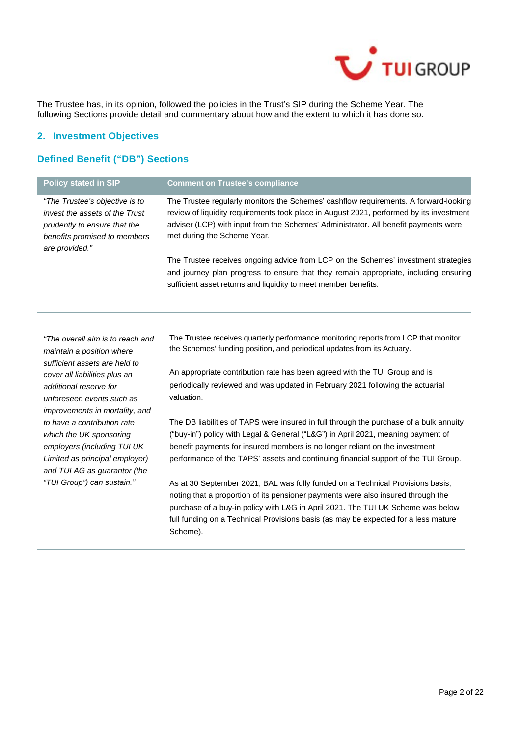

The Trustee has, in its opinion, followed the policies in the Trust's SIP during the Scheme Year. The following Sections provide detail and commentary about how and the extent to which it has done so.

### **2. Investment Objectives**

# **Defined Benefit ("DB") Sections**

| <b>Policy stated in SIP</b>                                                                                                                        | <b>Comment on Trustee's compliance</b>                                                                                                                                                                                                                                                                |
|----------------------------------------------------------------------------------------------------------------------------------------------------|-------------------------------------------------------------------------------------------------------------------------------------------------------------------------------------------------------------------------------------------------------------------------------------------------------|
| "The Trustee's objective is to<br>invest the assets of the Trust<br>prudently to ensure that the<br>benefits promised to members<br>are provided." | The Trustee regularly monitors the Schemes' cashflow requirements. A forward-looking<br>review of liquidity requirements took place in August 2021, performed by its investment<br>adviser (LCP) with input from the Schemes' Administrator. All benefit payments were<br>met during the Scheme Year. |
|                                                                                                                                                    | The Trustee receives ongoing advice from LCP on the Schemes' investment strategies<br>and journey plan progress to ensure that they remain appropriate, including ensuring<br>sufficient asset returns and liquidity to meet member benefits.                                                         |

*"The overall aim is to reach and maintain a position where sufficient assets are held to cover all liabilities plus an additional reserve for unforeseen events such as improvements in mortality, and to have a contribution rate which the UK sponsoring employers (including TUI UK Limited as principal employer) and TUI AG as guarantor (the "TUI Group") can sustain."*

The Trustee receives quarterly performance monitoring reports from LCP that monitor the Schemes' funding position, and periodical updates from its Actuary.

An appropriate contribution rate has been agreed with the TUI Group and is periodically reviewed and was updated in February 2021 following the actuarial valuation.

The DB liabilities of TAPS were insured in full through the purchase of a bulk annuity ("buy-in") policy with Legal & General ("L&G") in April 2021, meaning payment of benefit payments for insured members is no longer reliant on the investment performance of the TAPS' assets and continuing financial support of the TUI Group.

As at 30 September 2021, BAL was fully funded on a Technical Provisions basis, noting that a proportion of its pensioner payments were also insured through the purchase of a buy-in policy with L&G in April 2021. The TUI UK Scheme was below full funding on a Technical Provisions basis (as may be expected for a less mature Scheme).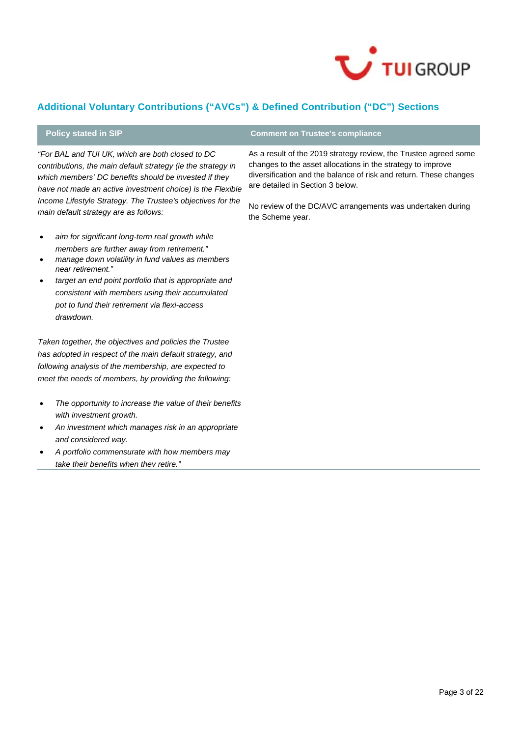

# **Additional Voluntary Contributions ("AVCs") & Defined Contribution ("DC") Sections**

*"For BAL and TUI UK, which are both closed to DC contributions, the main default strategy (ie the strategy in which members' DC benefits should be invested if they have not made an active investment choice) is the Flexible Income Lifestyle Strategy. The Trustee's objectives for the main default strategy are as follows:*

- *aim for significant long-term real growth while members are further away from retirement."*
- *manage down volatility in fund values as members near retirement."*
- *target an end point portfolio that is appropriate and consistent with members using their accumulated pot to fund their retirement via flexi-access drawdown.*

*Taken together, the objectives and policies the Trustee has adopted in respect of the main default strategy, and following analysis of the membership, are expected to meet the needs of members, by providing the following:*

- *The opportunity to increase the value of their benefits with investment growth.*
- *An investment which manages risk in an appropriate and considered way.*
- *A portfolio commensurate with how members may take their benefits when they retire."*

# **Policy stated in SIP Comment on Trustee's compliance**

As a result of the 2019 strategy review, the Trustee agreed some changes to the asset allocations in the strategy to improve diversification and the balance of risk and return. These changes are detailed in Section 3 below.

No review of the DC/AVC arrangements was undertaken during the Scheme year.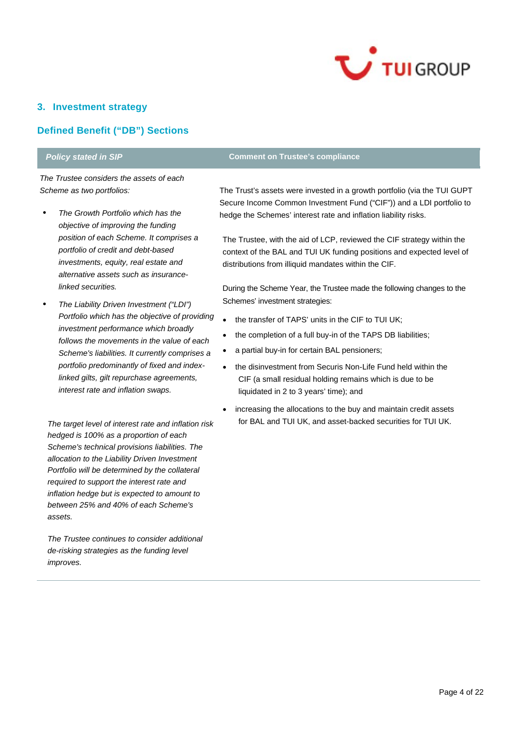

# **3. Investment strategy**

# **Defined Benefit ("DB") Sections**

*The Trustee considers the assets of each Scheme as two portfolios:*

- *• The Growth Portfolio which has the objective of improving the funding position of each Scheme. It comprises a portfolio of credit and debt-based investments, equity, real estate and alternative assets such as insurancelinked securities.*
- *• The Liability Driven Investment ("LDI") Portfolio which has the objective of providing investment performance which broadly follows the movements in the value of each Scheme's liabilities. It currently comprises a portfolio predominantly of fixed and indexlinked gilts, gilt repurchase agreements, interest rate and inflation swaps.*

*The target level of interest rate and inflation risk hedged is 100% as a proportion of each Scheme's technical provisions liabilities. The allocation to the Liability Driven Investment Portfolio will be determined by the collateral required to support the interest rate and inflation hedge but is expected to amount to between 25% and 40% of each Scheme's assets.*

*The Trustee continues to consider additional de-risking strategies as the funding level improves.*

# **Policy stated in SIP Comment on Trustee's compliance**

The Trust's assets were invested in a growth portfolio (via the TUI GUPT Secure Income Common Investment Fund ("CIF")) and a LDI portfolio to hedge the Schemes' interest rate and inflation liability risks.

The Trustee, with the aid of LCP, reviewed the CIF strategy within the context of the BAL and TUI UK funding positions and expected level of distributions from illiquid mandates within the CIF.

During the Scheme Year, the Trustee made the following changes to the Schemes' investment strategies:

- the transfer of TAPS' units in the CIF to TUI UK:
- the completion of a full buy-in of the TAPS DB liabilities;
- a partial buy-in for certain BAL pensioners;
- the disinvestment from Securis Non-Life Fund held within the CIF (a small residual holding remains which is due to be liquidated in 2 to 3 years' time); and
- increasing the allocations to the buy and maintain credit assets for BAL and TUI UK, and asset-backed securities for TUI UK.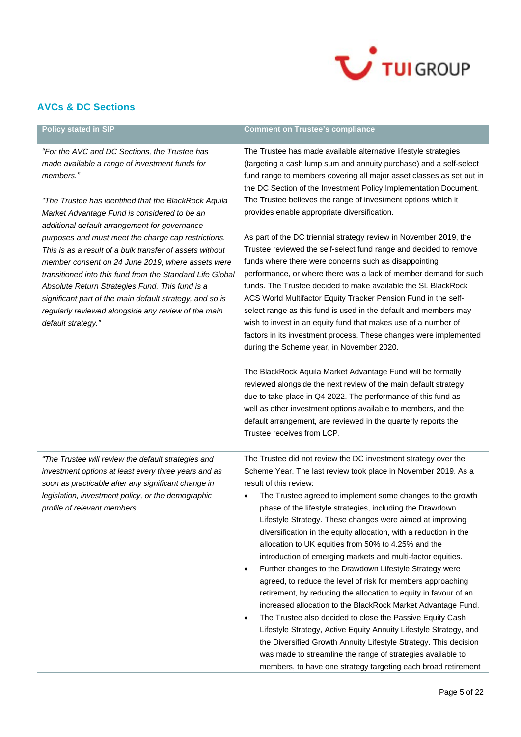

# **AVCs & DC Sections**

| <b>Policy stated in SIP</b>                                                                                                                                                                                                                                                                                                                                                                                                   | <b>Comment on Trustee's compliance</b>                                                                                                                                                                                                                                                                                                                                                                                                                                                                                                                                                                                                                                                                                                                                                                                                                                                                                                                                                                                 |  |  |
|-------------------------------------------------------------------------------------------------------------------------------------------------------------------------------------------------------------------------------------------------------------------------------------------------------------------------------------------------------------------------------------------------------------------------------|------------------------------------------------------------------------------------------------------------------------------------------------------------------------------------------------------------------------------------------------------------------------------------------------------------------------------------------------------------------------------------------------------------------------------------------------------------------------------------------------------------------------------------------------------------------------------------------------------------------------------------------------------------------------------------------------------------------------------------------------------------------------------------------------------------------------------------------------------------------------------------------------------------------------------------------------------------------------------------------------------------------------|--|--|
| "For the AVC and DC Sections, the Trustee has<br>made available a range of investment funds for<br>members."                                                                                                                                                                                                                                                                                                                  | The Trustee has made available alternative lifestyle strategies<br>(targeting a cash lump sum and annuity purchase) and a self-select<br>fund range to members covering all major asset classes as set out in<br>the DC Section of the Investment Policy Implementation Document.                                                                                                                                                                                                                                                                                                                                                                                                                                                                                                                                                                                                                                                                                                                                      |  |  |
| "The Trustee has identified that the BlackRock Aquila<br>Market Advantage Fund is considered to be an<br>additional default arrangement for governance                                                                                                                                                                                                                                                                        | The Trustee believes the range of investment options which it<br>provides enable appropriate diversification.                                                                                                                                                                                                                                                                                                                                                                                                                                                                                                                                                                                                                                                                                                                                                                                                                                                                                                          |  |  |
| purposes and must meet the charge cap restrictions.<br>This is as a result of a bulk transfer of assets without<br>member consent on 24 June 2019, where assets were<br>transitioned into this fund from the Standard Life Global<br>Absolute Return Strategies Fund. This fund is a<br>significant part of the main default strategy, and so is<br>regularly reviewed alongside any review of the main<br>default strategy." | As part of the DC triennial strategy review in November 2019, the<br>Trustee reviewed the self-select fund range and decided to remove<br>funds where there were concerns such as disappointing<br>performance, or where there was a lack of member demand for such<br>funds. The Trustee decided to make available the SL BlackRock<br>ACS World Multifactor Equity Tracker Pension Fund in the self-<br>select range as this fund is used in the default and members may<br>wish to invest in an equity fund that makes use of a number of<br>factors in its investment process. These changes were implemented<br>during the Scheme year, in November 2020.                                                                                                                                                                                                                                                                                                                                                         |  |  |
|                                                                                                                                                                                                                                                                                                                                                                                                                               | The BlackRock Aquila Market Advantage Fund will be formally<br>reviewed alongside the next review of the main default strategy<br>due to take place in Q4 2022. The performance of this fund as<br>well as other investment options available to members, and the<br>default arrangement, are reviewed in the quarterly reports the<br>Trustee receives from LCP.                                                                                                                                                                                                                                                                                                                                                                                                                                                                                                                                                                                                                                                      |  |  |
| "The Trustee will review the default strategies and<br>investment options at least every three years and as<br>soon as practicable after any significant change in<br>legislation, investment policy, or the demographic<br>profile of relevant members.                                                                                                                                                                      | The Trustee did not review the DC investment strategy over the<br>Scheme Year. The last review took place in November 2019. As a<br>result of this review:<br>The Trustee agreed to implement some changes to the growth<br>phase of the lifestyle strategies, including the Drawdown<br>Lifestyle Strategy. These changes were aimed at improving<br>diversification in the equity allocation, with a reduction in the<br>allocation to UK equities from 50% to 4.25% and the<br>introduction of emerging markets and multi-factor equities.<br>Further changes to the Drawdown Lifestyle Strategy were<br>٠<br>agreed, to reduce the level of risk for members approaching<br>retirement, by reducing the allocation to equity in favour of an<br>increased allocation to the BlackRock Market Advantage Fund.<br>The Trustee also decided to close the Passive Equity Cash<br>Lifestyle Strategy, Active Equity Annuity Lifestyle Strategy, and<br>the Diversified Growth Annuity Lifestyle Strategy. This decision |  |  |

was made to streamline the range of strategies available to members, to have one strategy targeting each broad retirement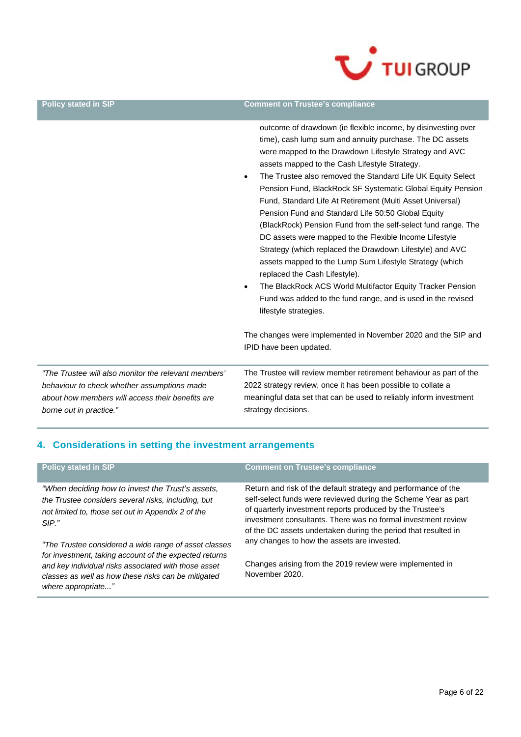

### **Policy stated in SIP Comment on Trustee's compliance**

outcome of drawdown (ie flexible income, by disinvesting over time), cash lump sum and annuity purchase. The DC assets were mapped to the Drawdown Lifestyle Strategy and AVC assets mapped to the Cash Lifestyle Strategy.

- The Trustee also removed the Standard Life UK Equity Select Pension Fund, BlackRock SF Systematic Global Equity Pension Fund, Standard Life At Retirement (Multi Asset Universal) Pension Fund and Standard Life 50:50 Global Equity (BlackRock) Pension Fund from the self-select fund range. The DC assets were mapped to the Flexible Income Lifestyle Strategy (which replaced the Drawdown Lifestyle) and AVC assets mapped to the Lump Sum Lifestyle Strategy (which replaced the Cash Lifestyle).
- The BlackRock ACS World Multifactor Equity Tracker Pension Fund was added to the fund range, and is used in the revised lifestyle strategies.

The changes were implemented in November 2020 and the SIP and IPID have been updated.

*"The Trustee will also monitor the relevant members' behaviour to check whether assumptions made about how members will access their benefits are borne out in practice."*

The Trustee will review member retirement behaviour as part of the 2022 strategy review, once it has been possible to collate a meaningful data set that can be used to reliably inform investment strategy decisions.

# **4. Considerations in setting the investment arrangements**

| <b>Policy stated in SIP</b>                                                                                                                                                                                                                          | <b>Comment on Trustee's compliance</b>                                                                                                                                                                                                                                                                                           |  |
|------------------------------------------------------------------------------------------------------------------------------------------------------------------------------------------------------------------------------------------------------|----------------------------------------------------------------------------------------------------------------------------------------------------------------------------------------------------------------------------------------------------------------------------------------------------------------------------------|--|
| "When deciding how to invest the Trust's assets,<br>the Trustee considers several risks, including, but<br>not limited to, those set out in Appendix 2 of the<br>$SIP.$ "                                                                            | Return and risk of the default strategy and performance of the<br>self-select funds were reviewed during the Scheme Year as part<br>of quarterly investment reports produced by the Trustee's<br>investment consultants. There was no formal investment review<br>of the DC assets undertaken during the period that resulted in |  |
| "The Trustee considered a wide range of asset classes<br>for investment, taking account of the expected returns<br>and key individual risks associated with those asset<br>classes as well as how these risks can be mitigated<br>where appropriate" | any changes to how the assets are invested.<br>Changes arising from the 2019 review were implemented in<br>November 2020.                                                                                                                                                                                                        |  |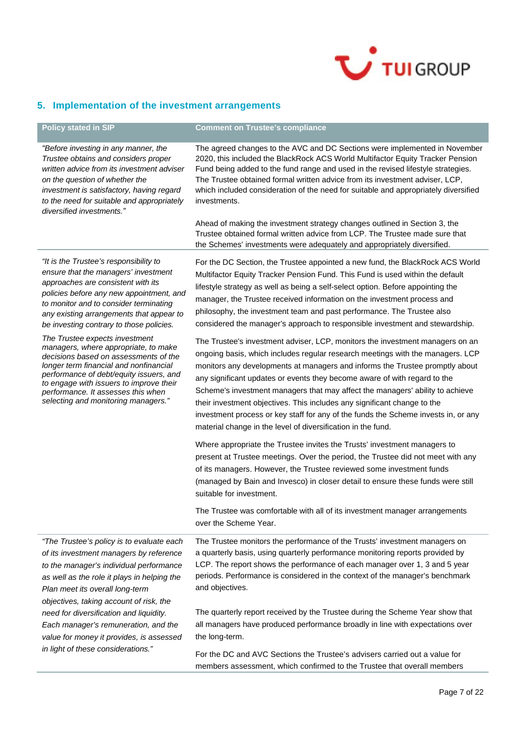

# **5. Implementation of the investment arrangements**

| <b>Policy stated in SIP</b>                                                                                                                                                                                                                                                                                                  | <b>Comment on Trustee's compliance</b>                                                                                                                                                                                                                                                                                                                                                                                                                                                                                                                                                                                                          |
|------------------------------------------------------------------------------------------------------------------------------------------------------------------------------------------------------------------------------------------------------------------------------------------------------------------------------|-------------------------------------------------------------------------------------------------------------------------------------------------------------------------------------------------------------------------------------------------------------------------------------------------------------------------------------------------------------------------------------------------------------------------------------------------------------------------------------------------------------------------------------------------------------------------------------------------------------------------------------------------|
| "Before investing in any manner, the<br>Trustee obtains and considers proper<br>written advice from its investment adviser<br>on the question of whether the<br>investment is satisfactory, having regard<br>to the need for suitable and appropriately<br>diversified investments."                                         | The agreed changes to the AVC and DC Sections were implemented in November<br>2020, this included the BlackRock ACS World Multifactor Equity Tracker Pension<br>Fund being added to the fund range and used in the revised lifestyle strategies.<br>The Trustee obtained formal written advice from its investment adviser, LCP,<br>which included consideration of the need for suitable and appropriately diversified<br>investments.                                                                                                                                                                                                         |
|                                                                                                                                                                                                                                                                                                                              | Ahead of making the investment strategy changes outlined in Section 3, the<br>Trustee obtained formal written advice from LCP. The Trustee made sure that<br>the Schemes' investments were adequately and appropriately diversified.                                                                                                                                                                                                                                                                                                                                                                                                            |
| "It is the Trustee's responsibility to<br>ensure that the managers' investment<br>approaches are consistent with its<br>policies before any new appointment, and<br>to monitor and to consider terminating<br>any existing arrangements that appear to<br>be investing contrary to those policies.                           | For the DC Section, the Trustee appointed a new fund, the BlackRock ACS World<br>Multifactor Equity Tracker Pension Fund. This Fund is used within the default<br>lifestyle strategy as well as being a self-select option. Before appointing the<br>manager, the Trustee received information on the investment process and<br>philosophy, the investment team and past performance. The Trustee also<br>considered the manager's approach to responsible investment and stewardship.                                                                                                                                                          |
| The Trustee expects investment<br>managers, where appropriate, to make<br>decisions based on assessments of the<br>longer term financial and nonfinancial<br>performance of debt/equity issuers, and<br>to engage with issuers to improve their<br>performance. It assesses this when<br>selecting and monitoring managers." | The Trustee's investment adviser, LCP, monitors the investment managers on an<br>ongoing basis, which includes regular research meetings with the managers. LCP<br>monitors any developments at managers and informs the Trustee promptly about<br>any significant updates or events they become aware of with regard to the<br>Scheme's investment managers that may affect the managers' ability to achieve<br>their investment objectives. This includes any significant change to the<br>investment process or key staff for any of the funds the Scheme invests in, or any<br>material change in the level of diversification in the fund. |
|                                                                                                                                                                                                                                                                                                                              | Where appropriate the Trustee invites the Trusts' investment managers to<br>present at Trustee meetings. Over the period, the Trustee did not meet with any<br>of its managers. However, the Trustee reviewed some investment funds<br>(managed by Bain and Invesco) in closer detail to ensure these funds were still<br>suitable for investment.                                                                                                                                                                                                                                                                                              |
|                                                                                                                                                                                                                                                                                                                              | The Trustee was comfortable with all of its investment manager arrangements<br>over the Scheme Year.                                                                                                                                                                                                                                                                                                                                                                                                                                                                                                                                            |
| "The Trustee's policy is to evaluate each<br>of its investment managers by reference<br>to the manager's individual performance<br>as well as the role it plays in helping the<br>Plan meet its overall long-term<br>objectives, taking account of risk, the                                                                 | The Trustee monitors the performance of the Trusts' investment managers on<br>a quarterly basis, using quarterly performance monitoring reports provided by<br>LCP. The report shows the performance of each manager over 1, 3 and 5 year<br>periods. Performance is considered in the context of the manager's benchmark<br>and objectives.                                                                                                                                                                                                                                                                                                    |
| need for diversification and liquidity.<br>Each manager's remuneration, and the<br>value for money it provides, is assessed                                                                                                                                                                                                  | The quarterly report received by the Trustee during the Scheme Year show that<br>all managers have produced performance broadly in line with expectations over<br>the long-term.                                                                                                                                                                                                                                                                                                                                                                                                                                                                |
| in light of these considerations."                                                                                                                                                                                                                                                                                           | For the DC and AVC Sections the Trustee's advisers carried out a value for<br>members assessment, which confirmed to the Trustee that overall members                                                                                                                                                                                                                                                                                                                                                                                                                                                                                           |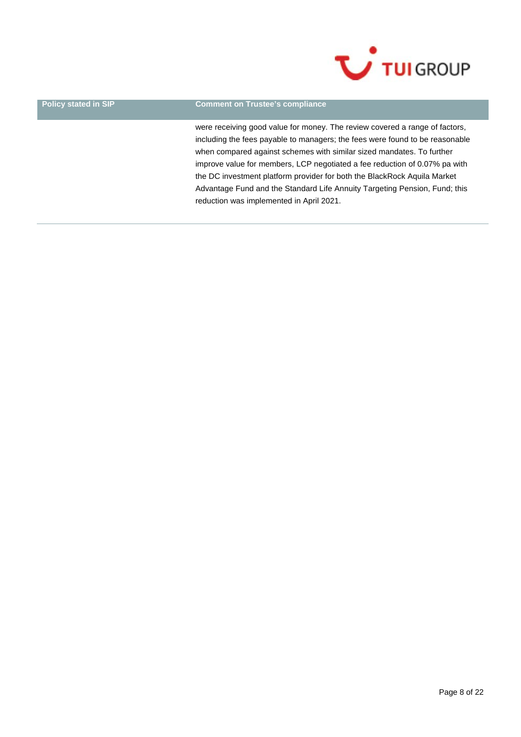

### **Policy stated in SIP Comment on Trustee's compliance**

were receiving good value for money. The review covered a range of factors, including the fees payable to managers; the fees were found to be reasonable when compared against schemes with similar sized mandates. To further improve value for members, LCP negotiated a fee reduction of 0.07% pa with the DC investment platform provider for both the BlackRock Aquila Market Advantage Fund and the Standard Life Annuity Targeting Pension, Fund; this reduction was implemented in April 2021.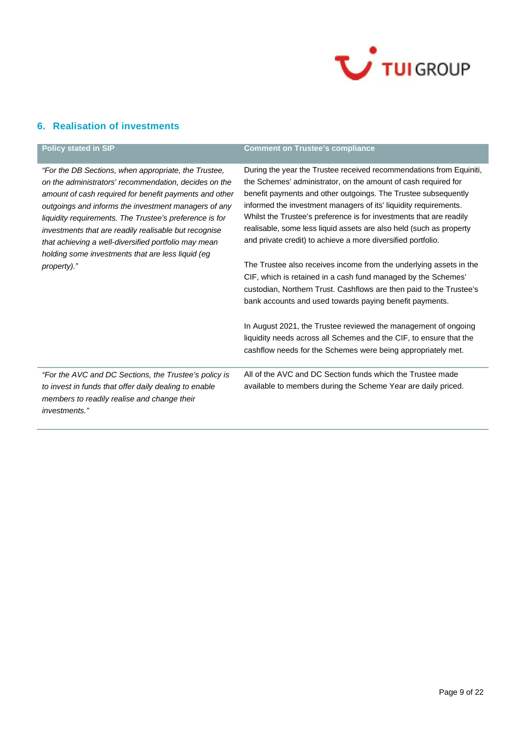

# **6. Realisation of investments**

| <b>Policy stated in SIP</b>                                                                                                                                                                                                                                                                                                                                                                                                                                      | <b>Comment on Trustee's compliance</b>                                                                                                                                                                                                                                                                                                                                                                                                                                                    |
|------------------------------------------------------------------------------------------------------------------------------------------------------------------------------------------------------------------------------------------------------------------------------------------------------------------------------------------------------------------------------------------------------------------------------------------------------------------|-------------------------------------------------------------------------------------------------------------------------------------------------------------------------------------------------------------------------------------------------------------------------------------------------------------------------------------------------------------------------------------------------------------------------------------------------------------------------------------------|
| "For the DB Sections, when appropriate, the Trustee,<br>on the administrators' recommendation, decides on the<br>amount of cash required for benefit payments and other<br>outgoings and informs the investment managers of any<br>liquidity requirements. The Trustee's preference is for<br>investments that are readily realisable but recognise<br>that achieving a well-diversified portfolio may mean<br>holding some investments that are less liquid (eg | During the year the Trustee received recommendations from Equiniti,<br>the Schemes' administrator, on the amount of cash required for<br>benefit payments and other outgoings. The Trustee subsequently<br>informed the investment managers of its' liquidity requirements.<br>Whilst the Trustee's preference is for investments that are readily<br>realisable, some less liquid assets are also held (such as property<br>and private credit) to achieve a more diversified portfolio. |
| property)."                                                                                                                                                                                                                                                                                                                                                                                                                                                      | The Trustee also receives income from the underlying assets in the<br>CIF, which is retained in a cash fund managed by the Schemes'<br>custodian, Northern Trust. Cashflows are then paid to the Trustee's<br>bank accounts and used towards paying benefit payments.                                                                                                                                                                                                                     |
|                                                                                                                                                                                                                                                                                                                                                                                                                                                                  | In August 2021, the Trustee reviewed the management of ongoing<br>liquidity needs across all Schemes and the CIF, to ensure that the<br>cashflow needs for the Schemes were being appropriately met.                                                                                                                                                                                                                                                                                      |
| "For the AVC and DC Sections, the Trustee's policy is<br>to invest in funds that offer daily dealing to enable<br>members to readily realise and change their<br><i>investments."</i>                                                                                                                                                                                                                                                                            | All of the AVC and DC Section funds which the Trustee made<br>available to members during the Scheme Year are daily priced.                                                                                                                                                                                                                                                                                                                                                               |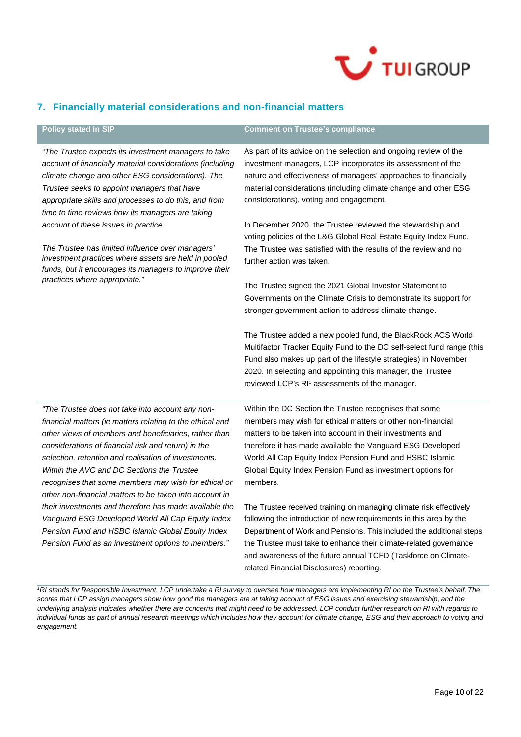

# **7. Financially material considerations and non-financial matters**

| <b>Policy stated in SIP</b>                                                                                                                                                                                                                                                                                                                                                                                                                            | <b>Comment on Trustee's compliance</b>                                                                                                                                                                                                                                                                                                                                                              |
|--------------------------------------------------------------------------------------------------------------------------------------------------------------------------------------------------------------------------------------------------------------------------------------------------------------------------------------------------------------------------------------------------------------------------------------------------------|-----------------------------------------------------------------------------------------------------------------------------------------------------------------------------------------------------------------------------------------------------------------------------------------------------------------------------------------------------------------------------------------------------|
| "The Trustee expects its investment managers to take<br>account of financially material considerations (including<br>climate change and other ESG considerations). The<br>Trustee seeks to appoint managers that have<br>appropriate skills and processes to do this, and from<br>time to time reviews how its managers are taking                                                                                                                     | As part of its advice on the selection and ongoing review of the<br>investment managers, LCP incorporates its assessment of the<br>nature and effectiveness of managers' approaches to financially<br>material considerations (including climate change and other ESG<br>considerations), voting and engagement.                                                                                    |
| account of these issues in practice.                                                                                                                                                                                                                                                                                                                                                                                                                   | In December 2020, the Trustee reviewed the stewardship and<br>voting policies of the L&G Global Real Estate Equity Index Fund.                                                                                                                                                                                                                                                                      |
| The Trustee has limited influence over managers'<br>investment practices where assets are held in pooled<br>funds, but it encourages its managers to improve their                                                                                                                                                                                                                                                                                     | The Trustee was satisfied with the results of the review and no<br>further action was taken.                                                                                                                                                                                                                                                                                                        |
| practices where appropriate."                                                                                                                                                                                                                                                                                                                                                                                                                          | The Trustee signed the 2021 Global Investor Statement to<br>Governments on the Climate Crisis to demonstrate its support for<br>stronger government action to address climate change.                                                                                                                                                                                                               |
|                                                                                                                                                                                                                                                                                                                                                                                                                                                        | The Trustee added a new pooled fund, the BlackRock ACS World<br>Multifactor Tracker Equity Fund to the DC self-select fund range (this<br>Fund also makes up part of the lifestyle strategies) in November<br>2020. In selecting and appointing this manager, the Trustee<br>reviewed LCP's RI <sup>1</sup> assessments of the manager.                                                             |
| "The Trustee does not take into account any non-<br>financial matters (ie matters relating to the ethical and<br>other views of members and beneficiaries, rather than<br>considerations of financial risk and return) in the<br>selection, retention and realisation of investments.<br>Within the AVC and DC Sections the Trustee<br>recognises that some members may wish for ethical or<br>other non-financial matters to be taken into account in | Within the DC Section the Trustee recognises that some<br>members may wish for ethical matters or other non-financial<br>matters to be taken into account in their investments and<br>therefore it has made available the Vanguard ESG Developed<br>World All Cap Equity Index Pension Fund and HSBC Islamic<br>Global Equity Index Pension Fund as investment options for<br>members.              |
| their investments and therefore has made available the<br>Vanguard ESG Developed World All Cap Equity Index<br>Pension Fund and HSBC Islamic Global Equity Index<br>Pension Fund as an investment options to members."                                                                                                                                                                                                                                 | The Trustee received training on managing climate risk effectively<br>following the introduction of new requirements in this area by the<br>Department of Work and Pensions. This included the additional steps<br>the Trustee must take to enhance their climate-related governance<br>and awareness of the future annual TCFD (Taskforce on Climate-<br>related Financial Disclosures) reporting. |

<sup>&</sup>lt;sup>1</sup>RI stands for Responsible Investment. LCP undertake a RI survey to oversee how managers are implementing RI on the Trustee's behalf. The *scores that LCP assign managers show how good the managers are at taking account of ESG issues and exercising stewardship, and the underlying analysis indicates whether there are concerns that might need to be addressed. LCP conduct further research on RI with regards to*  individual funds as part of annual research meetings which includes how they account for climate change, ESG and their approach to voting and *engagement.*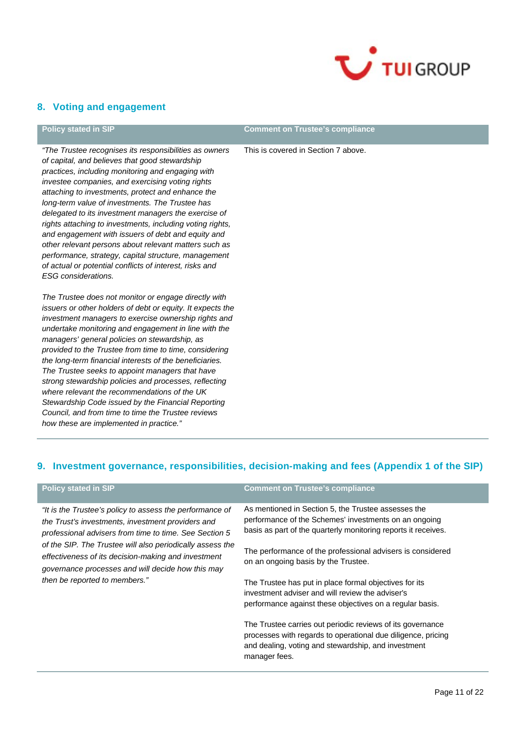

# **8. Voting and engagement**

### **Policy stated in SIP Comment on Trustee's compliance**

*"The Trustee recognises its responsibilities as owners of capital, and believes that good stewardship practices, including monitoring and engaging with investee companies, and exercising voting rights attaching to investments, protect and enhance the long-term value of investments. The Trustee has delegated to its investment managers the exercise of rights attaching to investments, including voting rights, and engagement with issuers of debt and equity and other relevant persons about relevant matters such as performance, strategy, capital structure, management of actual or potential conflicts of interest, risks and ESG considerations.*

*The Trustee does not monitor or engage directly with issuers or other holders of debt or equity. It expects the investment managers to exercise ownership rights and undertake monitoring and engagement in line with the managers' general policies on stewardship, as provided to the Trustee from time to time, considering the long-term financial interests of the beneficiaries. The Trustee seeks to appoint managers that have strong stewardship policies and processes, reflecting where relevant the recommendations of the UK Stewardship Code issued by the Financial Reporting Council, and from time to time the Trustee reviews how these are implemented in practice."*

### This is covered in Section 7 above.

# **9. Investment governance, responsibilities, decision-making and fees (Appendix 1 of the SIP)**

| Policy stated in SIP                                                                                                                                                                                                                                                                                                                             | <b>Comment on Trustee's compliance</b>                                                                                                                                                                                                                                              |
|--------------------------------------------------------------------------------------------------------------------------------------------------------------------------------------------------------------------------------------------------------------------------------------------------------------------------------------------------|-------------------------------------------------------------------------------------------------------------------------------------------------------------------------------------------------------------------------------------------------------------------------------------|
| "It is the Trustee's policy to assess the performance of<br>the Trust's investments, investment providers and<br>professional advisers from time to time. See Section 5<br>of the SIP. The Trustee will also periodically assess the<br>effectiveness of its decision-making and investment<br>governance processes and will decide how this may | As mentioned in Section 5, the Trustee assesses the<br>performance of the Schemes' investments on an ongoing<br>basis as part of the quarterly monitoring reports it receives.<br>The performance of the professional advisers is considered<br>on an ongoing basis by the Trustee. |
| then be reported to members."                                                                                                                                                                                                                                                                                                                    | The Trustee has put in place formal objectives for its<br>investment adviser and will review the adviser's<br>performance against these objectives on a regular basis.                                                                                                              |
|                                                                                                                                                                                                                                                                                                                                                  | The Trustee carries out periodic reviews of its governance<br>processes with regards to operational due diligence, pricing<br>and dealing, voting and stewardship, and investment<br>manager fees.                                                                                  |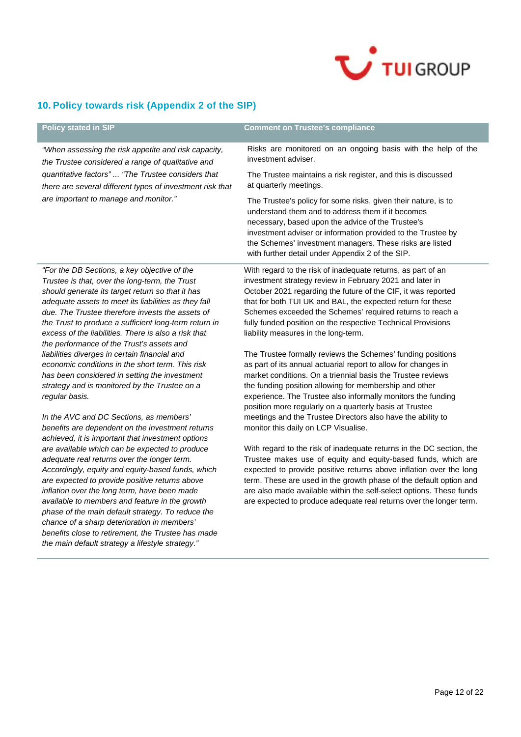

# **10. Policy towards risk (Appendix 2 of the SIP)**

| <b>Policy stated in SIP</b>                                                                                                                                                                                                                                                                                                                                                                                                                                                                                                                                                                                                                           | <b>Comment on Trustee's compliance</b>                                                                                                                                                                                                                                                                                                                                                                                                                                                                                                                                                                                                                                                                                                                                                                             |  |
|-------------------------------------------------------------------------------------------------------------------------------------------------------------------------------------------------------------------------------------------------------------------------------------------------------------------------------------------------------------------------------------------------------------------------------------------------------------------------------------------------------------------------------------------------------------------------------------------------------------------------------------------------------|--------------------------------------------------------------------------------------------------------------------------------------------------------------------------------------------------------------------------------------------------------------------------------------------------------------------------------------------------------------------------------------------------------------------------------------------------------------------------------------------------------------------------------------------------------------------------------------------------------------------------------------------------------------------------------------------------------------------------------------------------------------------------------------------------------------------|--|
| "When assessing the risk appetite and risk capacity,<br>the Trustee considered a range of qualitative and                                                                                                                                                                                                                                                                                                                                                                                                                                                                                                                                             | Risks are monitored on an ongoing basis with the help of the<br>investment adviser.                                                                                                                                                                                                                                                                                                                                                                                                                                                                                                                                                                                                                                                                                                                                |  |
| quantitative factors" "The Trustee considers that<br>there are several different types of investment risk that                                                                                                                                                                                                                                                                                                                                                                                                                                                                                                                                        | The Trustee maintains a risk register, and this is discussed<br>at quarterly meetings.                                                                                                                                                                                                                                                                                                                                                                                                                                                                                                                                                                                                                                                                                                                             |  |
| are important to manage and monitor."                                                                                                                                                                                                                                                                                                                                                                                                                                                                                                                                                                                                                 | The Trustee's policy for some risks, given their nature, is to<br>understand them and to address them if it becomes<br>necessary, based upon the advice of the Trustee's<br>investment adviser or information provided to the Trustee by<br>the Schemes' investment managers. These risks are listed<br>with further detail under Appendix 2 of the SIP.                                                                                                                                                                                                                                                                                                                                                                                                                                                           |  |
| "For the DB Sections, a key objective of the<br>Trustee is that, over the long-term, the Trust<br>should generate its target return so that it has<br>adequate assets to meet its liabilities as they fall<br>due. The Trustee therefore invests the assets of<br>the Trust to produce a sufficient long-term return in<br>excess of the liabilities. There is also a risk that<br>the performance of the Trust's assets and<br>liabilities diverges in certain financial and<br>economic conditions in the short term. This risk<br>has been considered in setting the investment<br>strategy and is monitored by the Trustee on a<br>regular basis. | With regard to the risk of inadequate returns, as part of an<br>investment strategy review in February 2021 and later in<br>October 2021 regarding the future of the CIF, it was reported<br>that for both TUI UK and BAL, the expected return for these<br>Schemes exceeded the Schemes' required returns to reach a<br>fully funded position on the respective Technical Provisions<br>liability measures in the long-term.<br>The Trustee formally reviews the Schemes' funding positions<br>as part of its annual actuarial report to allow for changes in<br>market conditions. On a triennial basis the Trustee reviews<br>the funding position allowing for membership and other<br>experience. The Trustee also informally monitors the funding<br>position more regularly on a quarterly basis at Trustee |  |
| In the AVC and DC Sections, as members'<br>benefits are dependent on the investment returns<br>achieved, it is important that investment options                                                                                                                                                                                                                                                                                                                                                                                                                                                                                                      | meetings and the Trustee Directors also have the ability to<br>monitor this daily on LCP Visualise.                                                                                                                                                                                                                                                                                                                                                                                                                                                                                                                                                                                                                                                                                                                |  |
| are available which can be expected to produce<br>adequate real returns over the longer term.<br>Accordingly, equity and equity-based funds, which<br>are expected to provide positive returns above<br>inflation over the long term, have been made<br>available to members and feature in the growth<br>phase of the main default strategy. To reduce the<br>chance of a sharp deterioration in members'<br>benefits close to retirement, the Trustee has made<br>the main default strategy a lifestyle strategy."                                                                                                                                  | With regard to the risk of inadequate returns in the DC section, the<br>Trustee makes use of equity and equity-based funds, which are<br>expected to provide positive returns above inflation over the long<br>term. These are used in the growth phase of the default option and<br>are also made available within the self-select options. These funds<br>are expected to produce adequate real returns over the longer term.                                                                                                                                                                                                                                                                                                                                                                                    |  |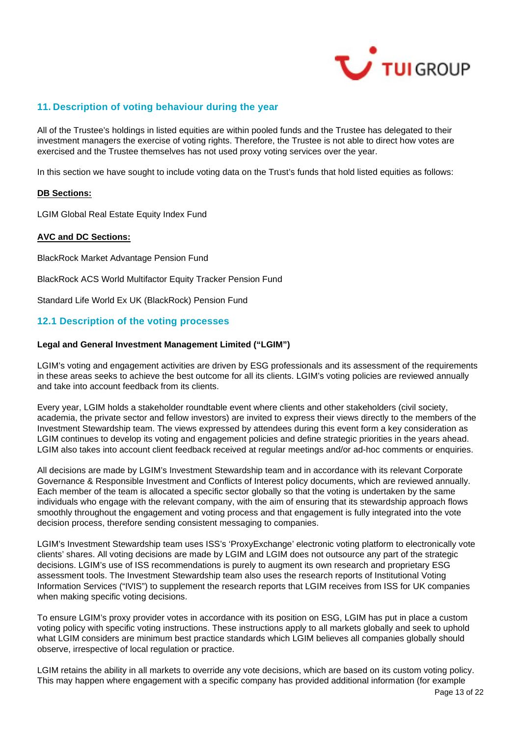

# **11. Description of voting behaviour during the year**

All of the Trustee's holdings in listed equities are within pooled funds and the Trustee has delegated to their investment managers the exercise of voting rights. Therefore, the Trustee is not able to direct how votes are exercised and the Trustee themselves has not used proxy voting services over the year.

In this section we have sought to include voting data on the Trust's funds that hold listed equities as follows:

### **DB Sections:**

LGIM Global Real Estate Equity Index Fund

### **AVC and DC Sections:**

BlackRock Market Advantage Pension Fund

BlackRock ACS World Multifactor Equity Tracker Pension Fund

Standard Life World Ex UK (BlackRock) Pension Fund

# **12.1 Description of the voting processes**

### **Legal and General Investment Management Limited ("LGIM")**

LGIM's voting and engagement activities are driven by ESG professionals and its assessment of the requirements in these areas seeks to achieve the best outcome for all its clients. LGIM's voting policies are reviewed annually and take into account feedback from its clients.

Every year, LGIM holds a stakeholder roundtable event where clients and other stakeholders (civil society, academia, the private sector and fellow investors) are invited to express their views directly to the members of the Investment Stewardship team. The views expressed by attendees during this event form a key consideration as LGIM continues to develop its voting and engagement policies and define strategic priorities in the years ahead. LGIM also takes into account client feedback received at regular meetings and/or ad-hoc comments or enquiries.

All decisions are made by LGIM's Investment Stewardship team and in accordance with its relevant Corporate Governance & Responsible Investment and Conflicts of Interest policy documents, which are reviewed annually. Each member of the team is allocated a specific sector globally so that the voting is undertaken by the same individuals who engage with the relevant company, with the aim of ensuring that its stewardship approach flows smoothly throughout the engagement and voting process and that engagement is fully integrated into the vote decision process, therefore sending consistent messaging to companies.

LGIM's Investment Stewardship team uses ISS's 'ProxyExchange' electronic voting platform to electronically vote clients' shares. All voting decisions are made by LGIM and LGIM does not outsource any part of the strategic decisions. LGIM's use of ISS recommendations is purely to augment its own research and proprietary ESG assessment tools. The Investment Stewardship team also uses the research reports of Institutional Voting Information Services ("IVIS") to supplement the research reports that LGIM receives from ISS for UK companies when making specific voting decisions.

To ensure LGIM's proxy provider votes in accordance with its position on ESG, LGIM has put in place a custom voting policy with specific voting instructions. These instructions apply to all markets globally and seek to uphold what LGIM considers are minimum best practice standards which LGIM believes all companies globally should observe, irrespective of local regulation or practice.

LGIM retains the ability in all markets to override any vote decisions, which are based on its custom voting policy. This may happen where engagement with a specific company has provided additional information (for example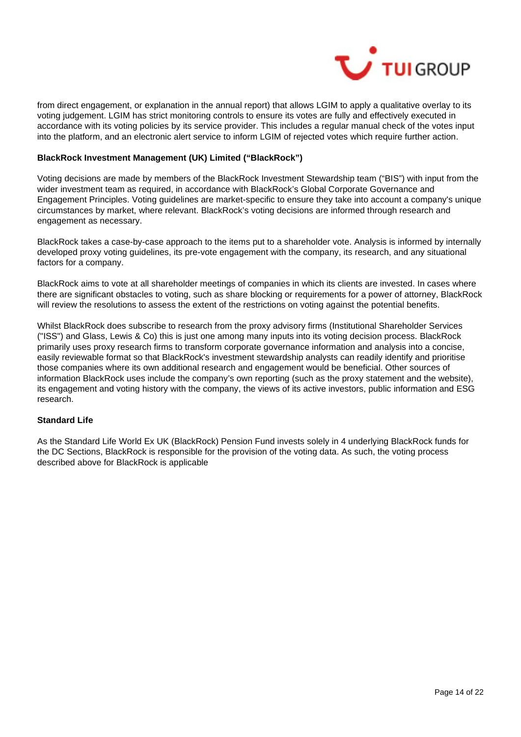

from direct engagement, or explanation in the annual report) that allows LGIM to apply a qualitative overlay to its voting judgement. LGIM has strict monitoring controls to ensure its votes are fully and effectively executed in accordance with its voting policies by its service provider. This includes a regular manual check of the votes input into the platform, and an electronic alert service to inform LGIM of rejected votes which require further action.

### **BlackRock Investment Management (UK) Limited ("BlackRock")**

Voting decisions are made by members of the BlackRock Investment Stewardship team ("BIS") with input from the wider investment team as required, in accordance with BlackRock's Global Corporate Governance and Engagement Principles. Voting guidelines are market-specific to ensure they take into account a company's unique circumstances by market, where relevant. BlackRock's voting decisions are informed through research and engagement as necessary.

BlackRock takes a case-by-case approach to the items put to a shareholder vote. Analysis is informed by internally developed proxy voting guidelines, its pre-vote engagement with the company, its research, and any situational factors for a company.

BlackRock aims to vote at all shareholder meetings of companies in which its clients are invested. In cases where there are significant obstacles to voting, such as share blocking or requirements for a power of attorney, BlackRock will review the resolutions to assess the extent of the restrictions on voting against the potential benefits.

Whilst BlackRock does subscribe to research from the proxy advisory firms (Institutional Shareholder Services ("ISS") and Glass, Lewis & Co) this is just one among many inputs into its voting decision process. BlackRock primarily uses proxy research firms to transform corporate governance information and analysis into a concise, easily reviewable format so that BlackRock's investment stewardship analysts can readily identify and prioritise those companies where its own additional research and engagement would be beneficial. Other sources of information BlackRock uses include the company's own reporting (such as the proxy statement and the website), its engagement and voting history with the company, the views of its active investors, public information and ESG research.

# **Standard Life**

As the Standard Life World Ex UK (BlackRock) Pension Fund invests solely in 4 underlying BlackRock funds for the DC Sections, BlackRock is responsible for the provision of the voting data. As such, the voting process described above for BlackRock is applicable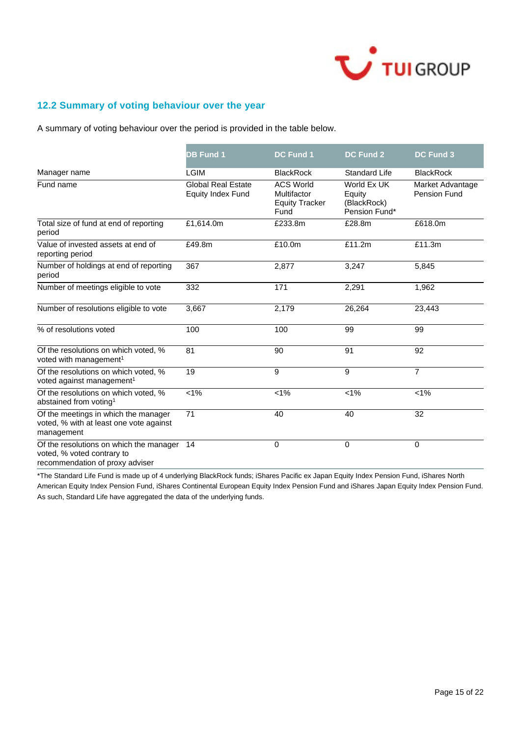

# **12.2 Summary of voting behaviour over the year**

A summary of voting behaviour over the period is provided in the table below.

|                                                                                                          | <b>DB Fund 1</b>                                      | <b>DC Fund 1</b>                                                 | <b>DC Fund 2</b>                                      | <b>DC Fund 3</b>                 |
|----------------------------------------------------------------------------------------------------------|-------------------------------------------------------|------------------------------------------------------------------|-------------------------------------------------------|----------------------------------|
| Manager name                                                                                             | <b>LGIM</b>                                           | <b>BlackRock</b>                                                 | <b>Standard Life</b>                                  | <b>BlackRock</b>                 |
| Fund name                                                                                                | <b>Global Real Estate</b><br><b>Equity Index Fund</b> | <b>ACS World</b><br>Multifactor<br><b>Equity Tracker</b><br>Fund | World Ex UK<br>Equity<br>(BlackRock)<br>Pension Fund* | Market Advantage<br>Pension Fund |
| Total size of fund at end of reporting<br>period                                                         | £1,614.0m                                             | £233.8m                                                          | £28.8m                                                | £618.0m                          |
| Value of invested assets at end of<br>reporting period                                                   | £49.8m                                                | £10.0m                                                           | £11.2m                                                | £11.3m                           |
| Number of holdings at end of reporting<br>period                                                         | 367                                                   | 2.877                                                            | 3,247                                                 | 5,845                            |
| Number of meetings eligible to vote                                                                      | 332                                                   | 171                                                              | 2,291                                                 | 1,962                            |
| Number of resolutions eligible to vote                                                                   | 3,667                                                 | 2,179                                                            | 26,264                                                | 23,443                           |
| % of resolutions voted                                                                                   | 100                                                   | 100                                                              | 99                                                    | 99                               |
| Of the resolutions on which voted, %<br>voted with management <sup>1</sup>                               | 81                                                    | 90                                                               | 91                                                    | 92                               |
| Of the resolutions on which voted, %<br>voted against management <sup>1</sup>                            | $\overline{19}$                                       | $\overline{9}$                                                   | 9                                                     | $\overline{7}$                   |
| Of the resolutions on which voted, %<br>abstained from voting <sup>1</sup>                               | $\sqrt{1\%}$                                          | $< 1\%$                                                          | $< 1\%$                                               | $< 1\%$                          |
| Of the meetings in which the manager<br>voted, % with at least one vote against<br>management            | 71                                                    | 40                                                               | 40                                                    | 32                               |
| Of the resolutions on which the manager<br>voted, % voted contrary to<br>recommendation of proxy adviser | 14                                                    | 0                                                                | 0                                                     | 0                                |

\*The Standard Life Fund is made up of 4 underlying BlackRock funds; iShares Pacific ex Japan Equity Index Pension Fund, iShares North American Equity Index Pension Fund, iShares Continental European Equity Index Pension Fund and iShares Japan Equity Index Pension Fund. As such, Standard Life have aggregated the data of the underlying funds.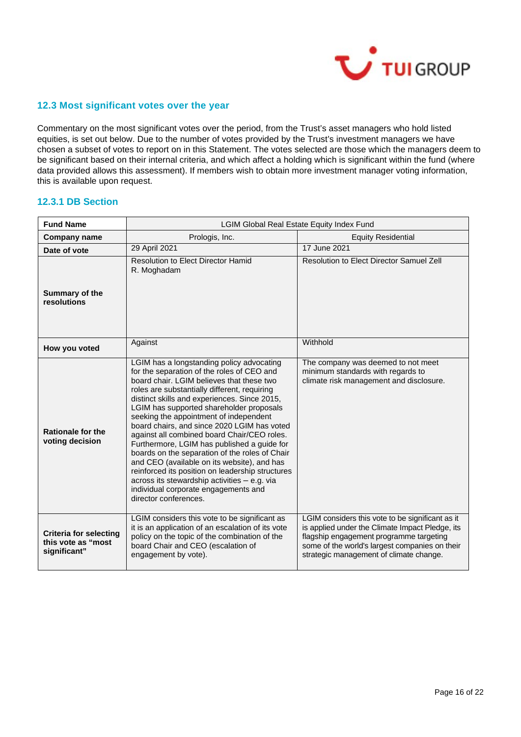

# **12.3 Most significant votes over the year**

Commentary on the most significant votes over the period, from the Trust's asset managers who hold listed equities, is set out below. Due to the number of votes provided by the Trust's investment managers we have chosen a subset of votes to report on in this Statement. The votes selected are those which the managers deem to be significant based on their internal criteria, and which affect a holding which is significant within the fund (where data provided allows this assessment). If members wish to obtain more investment manager voting information, this is available upon request.

# **12.3.1 DB Section**

| <b>Fund Name</b>                                                    | LGIM Global Real Estate Equity Index Fund                                                                                                                                                                                                                                                                                                                                                                                                                                                                                                                                                                                                                                                                                                     |                                                                                                                                                                                                                                             |  |
|---------------------------------------------------------------------|-----------------------------------------------------------------------------------------------------------------------------------------------------------------------------------------------------------------------------------------------------------------------------------------------------------------------------------------------------------------------------------------------------------------------------------------------------------------------------------------------------------------------------------------------------------------------------------------------------------------------------------------------------------------------------------------------------------------------------------------------|---------------------------------------------------------------------------------------------------------------------------------------------------------------------------------------------------------------------------------------------|--|
| <b>Company name</b>                                                 | Prologis, Inc.                                                                                                                                                                                                                                                                                                                                                                                                                                                                                                                                                                                                                                                                                                                                | <b>Equity Residential</b>                                                                                                                                                                                                                   |  |
| Date of vote                                                        | 29 April 2021                                                                                                                                                                                                                                                                                                                                                                                                                                                                                                                                                                                                                                                                                                                                 | 17 June 2021                                                                                                                                                                                                                                |  |
| Summary of the<br>resolutions                                       | <b>Resolution to Elect Director Hamid</b><br>R. Moghadam                                                                                                                                                                                                                                                                                                                                                                                                                                                                                                                                                                                                                                                                                      | Resolution to Elect Director Samuel Zell                                                                                                                                                                                                    |  |
| How you voted                                                       | Against                                                                                                                                                                                                                                                                                                                                                                                                                                                                                                                                                                                                                                                                                                                                       | Withhold                                                                                                                                                                                                                                    |  |
| <b>Rationale for the</b><br>voting decision                         | LGIM has a longstanding policy advocating<br>for the separation of the roles of CEO and<br>board chair. LGIM believes that these two<br>roles are substantially different, requiring<br>distinct skills and experiences. Since 2015,<br>LGIM has supported shareholder proposals<br>seeking the appointment of independent<br>board chairs, and since 2020 LGIM has voted<br>against all combined board Chair/CEO roles.<br>Furthermore, LGIM has published a guide for<br>boards on the separation of the roles of Chair<br>and CEO (available on its website), and has<br>reinforced its position on leadership structures<br>across its stewardship activities - e.g. via<br>individual corporate engagements and<br>director conferences. | The company was deemed to not meet<br>minimum standards with regards to<br>climate risk management and disclosure.                                                                                                                          |  |
| <b>Criteria for selecting</b><br>this vote as "most<br>significant" | LGIM considers this vote to be significant as<br>it is an application of an escalation of its vote<br>policy on the topic of the combination of the<br>board Chair and CEO (escalation of<br>engagement by vote).                                                                                                                                                                                                                                                                                                                                                                                                                                                                                                                             | LGIM considers this vote to be significant as it<br>is applied under the Climate Impact Pledge, its<br>flagship engagement programme targeting<br>some of the world's largest companies on their<br>strategic management of climate change. |  |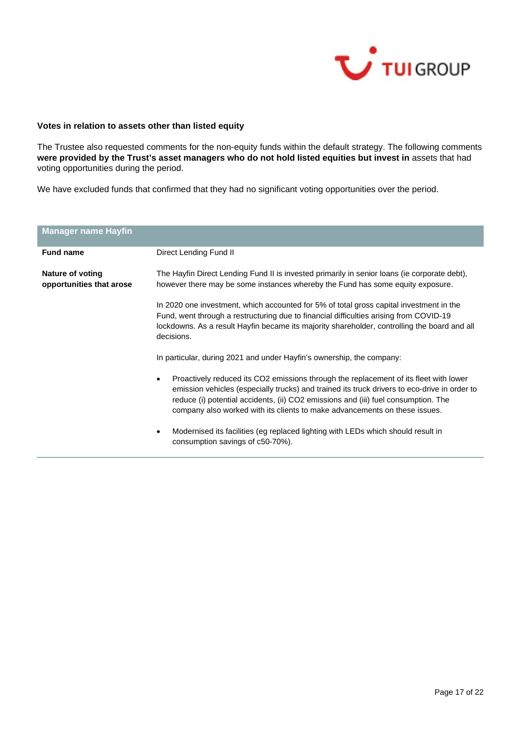

### **Votes in relation to assets other than listed equity**

The Trustee also requested comments for the non-equity funds within the default strategy. The following comments **were provided by the Trust's asset managers who do not hold listed equities but invest in** assets that had voting opportunities during the period.

We have excluded funds that confirmed that they had no significant voting opportunities over the period.

| <b>Manager name Hayfin</b>                                                                                                                                                                                                                                                                                                                                             |                                                                                                                                                                                                                                                                                                 |  |
|------------------------------------------------------------------------------------------------------------------------------------------------------------------------------------------------------------------------------------------------------------------------------------------------------------------------------------------------------------------------|-------------------------------------------------------------------------------------------------------------------------------------------------------------------------------------------------------------------------------------------------------------------------------------------------|--|
| <b>Fund name</b>                                                                                                                                                                                                                                                                                                                                                       | Direct Lending Fund II                                                                                                                                                                                                                                                                          |  |
| Nature of voting<br>opportunities that arose                                                                                                                                                                                                                                                                                                                           | The Hayfin Direct Lending Fund II is invested primarily in senior loans (ie corporate debt),<br>however there may be some instances whereby the Fund has some equity exposure.                                                                                                                  |  |
|                                                                                                                                                                                                                                                                                                                                                                        | In 2020 one investment, which accounted for 5% of total gross capital investment in the<br>Fund, went through a restructuring due to financial difficulties arising from COVID-19<br>lockdowns. As a result Hayfin became its majority shareholder, controlling the board and all<br>decisions. |  |
|                                                                                                                                                                                                                                                                                                                                                                        | In particular, during 2021 and under Hayfin's ownership, the company:                                                                                                                                                                                                                           |  |
| Proactively reduced its CO2 emissions through the replacement of its fleet with lower<br>$\bullet$<br>emission vehicles (especially trucks) and trained its truck drivers to eco-drive in order to<br>reduce (i) potential accidents, (ii) CO2 emissions and (iii) fuel consumption. The<br>company also worked with its clients to make advancements on these issues. |                                                                                                                                                                                                                                                                                                 |  |
|                                                                                                                                                                                                                                                                                                                                                                        | Modernised its facilities (eg replaced lighting with LEDs which should result in<br>consumption savings of c50-70%).                                                                                                                                                                            |  |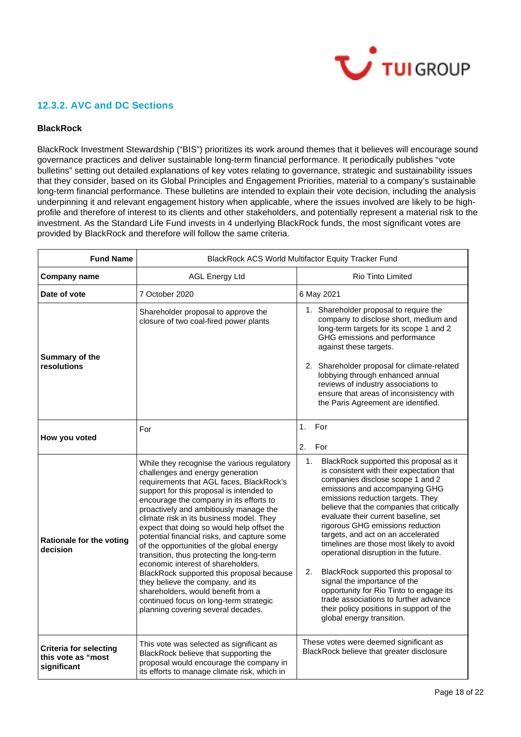

# **12.3.2. AVC and DC Sections**

### **BlackRock**

BlackRock Investment Stewardship ("BIS") prioritizes its work around themes that it believes will encourage sound governance practices and deliver sustainable long-term financial performance. It periodically publishes "vote bulletins" setting out detailed explanations of key votes relating to governance, strategic and sustainability issues that they consider, based on its Global Principles and Engagement Priorities, material to a company's sustainable long-term financial performance. These bulletins are intended to explain their vote decision, including the analysis underpinning it and relevant engagement history when applicable, where the issues involved are likely to be highprofile and therefore of interest to its clients and other stakeholders, and potentially represent a material risk to the investment. As the Standard Life Fund invests in 4 underlying BlackRock funds, the most significant votes are provided by BlackRock and therefore will follow the same criteria.

| <b>Fund Name</b>                                                   | BlackRock ACS World Multifactor Equity Tracker Fund                                                                                                                                                                                                                                                                                                                                                                                                                                                                                                                                                                                                                                                                                           |                                                                                                                                                                                                                                                                                                                                                                                                                                                                                                                                                                                                                                                                                                       |  |
|--------------------------------------------------------------------|-----------------------------------------------------------------------------------------------------------------------------------------------------------------------------------------------------------------------------------------------------------------------------------------------------------------------------------------------------------------------------------------------------------------------------------------------------------------------------------------------------------------------------------------------------------------------------------------------------------------------------------------------------------------------------------------------------------------------------------------------|-------------------------------------------------------------------------------------------------------------------------------------------------------------------------------------------------------------------------------------------------------------------------------------------------------------------------------------------------------------------------------------------------------------------------------------------------------------------------------------------------------------------------------------------------------------------------------------------------------------------------------------------------------------------------------------------------------|--|
| <b>Company name</b>                                                | <b>AGL Energy Ltd</b><br><b>Rio Tinto Limited</b>                                                                                                                                                                                                                                                                                                                                                                                                                                                                                                                                                                                                                                                                                             |                                                                                                                                                                                                                                                                                                                                                                                                                                                                                                                                                                                                                                                                                                       |  |
| Date of vote                                                       | 7 October 2020                                                                                                                                                                                                                                                                                                                                                                                                                                                                                                                                                                                                                                                                                                                                | 6 May 2021                                                                                                                                                                                                                                                                                                                                                                                                                                                                                                                                                                                                                                                                                            |  |
| Summary of the<br>resolutions                                      | Shareholder proposal to approve the<br>closure of two coal-fired power plants                                                                                                                                                                                                                                                                                                                                                                                                                                                                                                                                                                                                                                                                 | 1. Shareholder proposal to require the<br>company to disclose short, medium and<br>long-term targets for its scope 1 and 2<br>GHG emissions and performance<br>against these targets.<br>2. Shareholder proposal for climate-related<br>lobbying through enhanced annual<br>reviews of industry associations to<br>ensure that areas of inconsistency with<br>the Paris Agreement are identified.                                                                                                                                                                                                                                                                                                     |  |
| How you voted                                                      | For                                                                                                                                                                                                                                                                                                                                                                                                                                                                                                                                                                                                                                                                                                                                           | For<br>1 <sub>1</sub><br>2.<br>For                                                                                                                                                                                                                                                                                                                                                                                                                                                                                                                                                                                                                                                                    |  |
| <b>Rationale for the voting</b><br>decision                        | While they recognise the various regulatory<br>challenges and energy generation<br>requirements that AGL faces, BlackRock's<br>support for this proposal is intended to<br>encourage the company in its efforts to<br>proactively and ambitiously manage the<br>climate risk in its business model. They<br>expect that doing so would help offset the<br>potential financial risks, and capture some<br>of the opportunities of the global energy<br>transition, thus protecting the long-term<br>economic interest of shareholders.<br>BlackRock supported this proposal because<br>they believe the company, and its<br>shareholders, would benefit from a<br>continued focus on long-term strategic<br>planning covering several decades. | 1.<br>BlackRock supported this proposal as it<br>is consistent with their expectation that<br>companies disclose scope 1 and 2<br>emissions and accompanying GHG<br>emissions reduction targets. They<br>believe that the companies that critically<br>evaluate their current baseline, set<br>rigorous GHG emissions reduction<br>targets, and act on an accelerated<br>timelines are those most likely to avoid<br>operational disruption in the future.<br>2.<br>BlackRock supported this proposal to<br>signal the importance of the<br>opportunity for Rio Tinto to engage its<br>trade associations to further advance<br>their policy positions in support of the<br>global energy transition. |  |
| <b>Criteria for selecting</b><br>this vote as "most<br>significant | This vote was selected as significant as<br>BlackRock believe that supporting the<br>proposal would encourage the company in<br>its efforts to manage climate risk, which in                                                                                                                                                                                                                                                                                                                                                                                                                                                                                                                                                                  | These votes were deemed significant as<br>BlackRock believe that greater disclosure                                                                                                                                                                                                                                                                                                                                                                                                                                                                                                                                                                                                                   |  |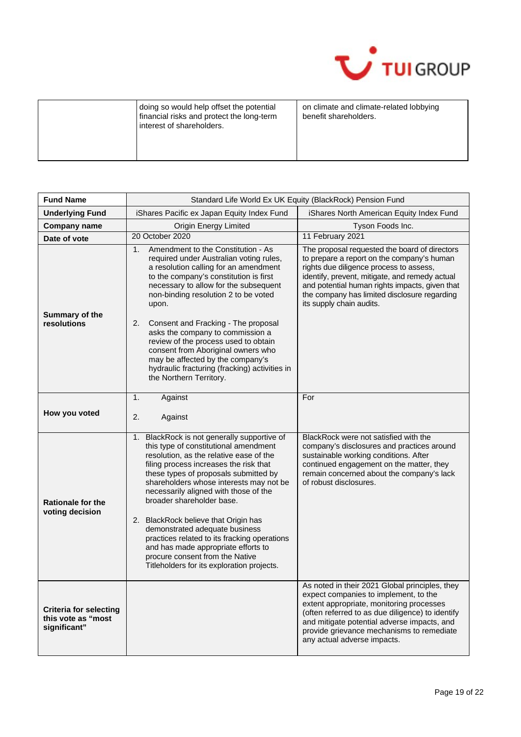

| doing so would help offset the potential<br>financial risks and protect the long-term<br>interest of shareholders. | on climate and climate-related lobbying<br>benefit shareholders. |
|--------------------------------------------------------------------------------------------------------------------|------------------------------------------------------------------|
|--------------------------------------------------------------------------------------------------------------------|------------------------------------------------------------------|

| <b>Fund Name</b>                                                    | Standard Life World Ex UK Equity (BlackRock) Pension Fund                                                                                                                                                                                                                                                                                                                                                                                                                                                                                                                                |                                                                                                                                                                                                                                                                                                                        |  |
|---------------------------------------------------------------------|------------------------------------------------------------------------------------------------------------------------------------------------------------------------------------------------------------------------------------------------------------------------------------------------------------------------------------------------------------------------------------------------------------------------------------------------------------------------------------------------------------------------------------------------------------------------------------------|------------------------------------------------------------------------------------------------------------------------------------------------------------------------------------------------------------------------------------------------------------------------------------------------------------------------|--|
| <b>Underlying Fund</b>                                              | iShares Pacific ex Japan Equity Index Fund                                                                                                                                                                                                                                                                                                                                                                                                                                                                                                                                               | iShares North American Equity Index Fund                                                                                                                                                                                                                                                                               |  |
| <b>Company name</b>                                                 | Origin Energy Limited                                                                                                                                                                                                                                                                                                                                                                                                                                                                                                                                                                    | Tyson Foods Inc.                                                                                                                                                                                                                                                                                                       |  |
| Date of vote                                                        | 20 October 2020                                                                                                                                                                                                                                                                                                                                                                                                                                                                                                                                                                          | 11 February 2021                                                                                                                                                                                                                                                                                                       |  |
| Summary of the<br>resolutions                                       | Amendment to the Constitution - As<br>1 <sub>1</sub><br>required under Australian voting rules,<br>a resolution calling for an amendment<br>to the company's constitution is first<br>necessary to allow for the subsequent<br>non-binding resolution 2 to be voted<br>upon.<br>Consent and Fracking - The proposal<br>2.<br>asks the company to commission a<br>review of the process used to obtain<br>consent from Aboriginal owners who<br>may be affected by the company's<br>hydraulic fracturing (fracking) activities in<br>the Northern Territory.                              | The proposal requested the board of directors<br>to prepare a report on the company's human<br>rights due diligence process to assess,<br>identify, prevent, mitigate, and remedy actual<br>and potential human rights impacts, given that<br>the company has limited disclosure regarding<br>its supply chain audits. |  |
|                                                                     | 1.<br>Against                                                                                                                                                                                                                                                                                                                                                                                                                                                                                                                                                                            | For                                                                                                                                                                                                                                                                                                                    |  |
| How you voted                                                       | 2.<br>Against                                                                                                                                                                                                                                                                                                                                                                                                                                                                                                                                                                            |                                                                                                                                                                                                                                                                                                                        |  |
| <b>Rationale for the</b><br>voting decision                         | BlackRock is not generally supportive of<br>1.<br>this type of constitutional amendment<br>resolution, as the relative ease of the<br>filing process increases the risk that<br>these types of proposals submitted by<br>shareholders whose interests may not be<br>necessarily aligned with those of the<br>broader shareholder base.<br>2. BlackRock believe that Origin has<br>demonstrated adequate business<br>practices related to its fracking operations<br>and has made appropriate efforts to<br>procure consent from the Native<br>Titleholders for its exploration projects. | BlackRock were not satisfied with the<br>company's disclosures and practices around<br>sustainable working conditions. After<br>continued engagement on the matter, they<br>remain concerned about the company's lack<br>of robust disclosures.                                                                        |  |
| <b>Criteria for selecting</b><br>this vote as "most<br>significant" |                                                                                                                                                                                                                                                                                                                                                                                                                                                                                                                                                                                          | As noted in their 2021 Global principles, they<br>expect companies to implement, to the<br>extent appropriate, monitoring processes<br>(often referred to as due diligence) to identify<br>and mitigate potential adverse impacts, and<br>provide grievance mechanisms to remediate<br>any actual adverse impacts.     |  |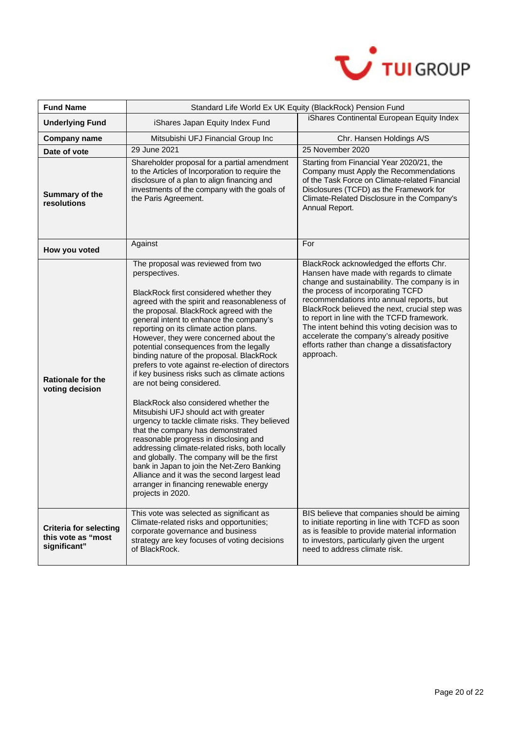

| <b>Fund Name</b>                                                    | Standard Life World Ex UK Equity (BlackRock) Pension Fund                                                                                                                                                                                                                                                                                                                                                                                                                                                                                                                                                                                                                                                                                                                                                                                                                                                                                                                                                                          |                                                                                                                                                                                                                                                                                                                                                                                                                                                                                |  |
|---------------------------------------------------------------------|------------------------------------------------------------------------------------------------------------------------------------------------------------------------------------------------------------------------------------------------------------------------------------------------------------------------------------------------------------------------------------------------------------------------------------------------------------------------------------------------------------------------------------------------------------------------------------------------------------------------------------------------------------------------------------------------------------------------------------------------------------------------------------------------------------------------------------------------------------------------------------------------------------------------------------------------------------------------------------------------------------------------------------|--------------------------------------------------------------------------------------------------------------------------------------------------------------------------------------------------------------------------------------------------------------------------------------------------------------------------------------------------------------------------------------------------------------------------------------------------------------------------------|--|
| <b>Underlying Fund</b>                                              | iShares Japan Equity Index Fund                                                                                                                                                                                                                                                                                                                                                                                                                                                                                                                                                                                                                                                                                                                                                                                                                                                                                                                                                                                                    | iShares Continental European Equity Index                                                                                                                                                                                                                                                                                                                                                                                                                                      |  |
| <b>Company name</b>                                                 | Mitsubishi UFJ Financial Group Inc                                                                                                                                                                                                                                                                                                                                                                                                                                                                                                                                                                                                                                                                                                                                                                                                                                                                                                                                                                                                 | Chr. Hansen Holdings A/S                                                                                                                                                                                                                                                                                                                                                                                                                                                       |  |
| Date of vote                                                        | 29 June 2021                                                                                                                                                                                                                                                                                                                                                                                                                                                                                                                                                                                                                                                                                                                                                                                                                                                                                                                                                                                                                       | 25 November 2020                                                                                                                                                                                                                                                                                                                                                                                                                                                               |  |
| Summary of the<br>resolutions                                       | Shareholder proposal for a partial amendment<br>to the Articles of Incorporation to require the<br>disclosure of a plan to align financing and<br>investments of the company with the goals of<br>the Paris Agreement.                                                                                                                                                                                                                                                                                                                                                                                                                                                                                                                                                                                                                                                                                                                                                                                                             | Starting from Financial Year 2020/21, the<br>Company must Apply the Recommendations<br>of the Task Force on Climate-related Financial<br>Disclosures (TCFD) as the Framework for<br>Climate-Related Disclosure in the Company's<br>Annual Report.                                                                                                                                                                                                                              |  |
| How you voted                                                       | Against                                                                                                                                                                                                                                                                                                                                                                                                                                                                                                                                                                                                                                                                                                                                                                                                                                                                                                                                                                                                                            | For                                                                                                                                                                                                                                                                                                                                                                                                                                                                            |  |
| <b>Rationale for the</b><br>voting decision                         | The proposal was reviewed from two<br>perspectives.<br>BlackRock first considered whether they<br>agreed with the spirit and reasonableness of<br>the proposal. BlackRock agreed with the<br>general intent to enhance the company's<br>reporting on its climate action plans.<br>However, they were concerned about the<br>potential consequences from the legally<br>binding nature of the proposal. BlackRock<br>prefers to vote against re-election of directors<br>if key business risks such as climate actions<br>are not being considered.<br>BlackRock also considered whether the<br>Mitsubishi UFJ should act with greater<br>urgency to tackle climate risks. They believed<br>that the company has demonstrated<br>reasonable progress in disclosing and<br>addressing climate-related risks, both locally<br>and globally. The company will be the first<br>bank in Japan to join the Net-Zero Banking<br>Alliance and it was the second largest lead<br>arranger in financing renewable energy<br>projects in 2020. | BlackRock acknowledged the efforts Chr.<br>Hansen have made with regards to climate<br>change and sustainability. The company is in<br>the process of incorporating TCFD<br>recommendations into annual reports, but<br>BlackRock believed the next, crucial step was<br>to report in line with the TCFD framework.<br>The intent behind this voting decision was to<br>accelerate the company's already positive<br>efforts rather than change a dissatisfactory<br>approach. |  |
| <b>Criteria for selecting</b><br>this vote as "most<br>significant" | This vote was selected as significant as<br>Climate-related risks and opportunities;<br>corporate governance and business<br>strategy are key focuses of voting decisions<br>of BlackRock.                                                                                                                                                                                                                                                                                                                                                                                                                                                                                                                                                                                                                                                                                                                                                                                                                                         | BIS believe that companies should be aiming<br>to initiate reporting in line with TCFD as soon<br>as is feasible to provide material information<br>to investors, particularly given the urgent<br>need to address climate risk.                                                                                                                                                                                                                                               |  |